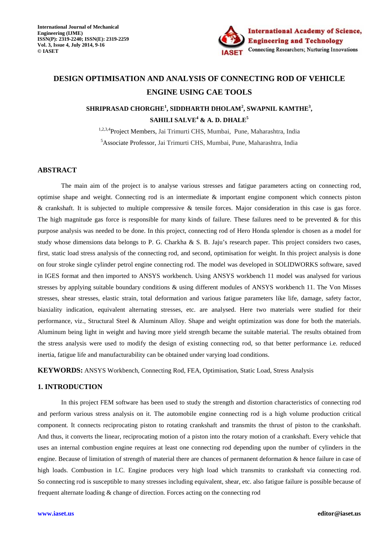

# **DESIGN OPTIMISATION AND ANALYSIS OF CONNECTING ROD OF VEHICLE ENGINE USING CAE TOOLS**

# **SHRIPRASAD CHORGHE<sup>1</sup> , SIDDHARTH DHOLAM<sup>2</sup> , SWAPNIL KAMTHE<sup>3</sup> , SAHILI SALVE<sup>4</sup> & A. D. DHALE<sup>5</sup>**

1,2,3,4Project Members, Jai Trimurti CHS, Mumbai, Pune, Maharashtra, India <sup>5</sup>Associate Professor, Jai Trimurti CHS, Mumbai, Pune, Maharashtra, India

## **ABSTRACT**

The main aim of the project is to analyse various stresses and fatigue parameters acting on connecting rod, optimise shape and weight. Connecting rod is an intermediate  $\&$  important engine component which connects piston & crankshaft. It is subjected to multiple compressive & tensile forces. Major consideration in this case is gas force. The high magnitude gas force is responsible for many kinds of failure. These failures need to be prevented  $\&$  for this purpose analysis was needed to be done. In this project, connecting rod of Hero Honda splendor is chosen as a model for study whose dimensions data belongs to P. G. Charkha & S. B. Jaju's research paper. This project considers two cases, first, static load stress analysis of the connecting rod, and second, optimisation for weight. In this project analysis is done on four stroke single cylinder petrol engine connecting rod. The model was developed in SOLIDWORKS software, saved in IGES format and then imported to ANSYS workbench. Using ANSYS workbench 11 model was analysed for various stresses by applying suitable boundary conditions & using different modules of ANSYS workbench 11. The Von Misses stresses, shear stresses, elastic strain, total deformation and various fatigue parameters like life, damage, safety factor, biaxiality indication, equivalent alternating stresses, etc. are analysed. Here two materials were studied for their performance, viz., Structural Steel & Aluminum Alloy. Shape and weight optimization was done for both the materials. Aluminum being light in weight and having more yield strength became the suitable material. The results obtained from the stress analysis were used to modify the design of existing connecting rod, so that better performance i.e. reduced inertia, fatigue life and manufacturability can be obtained under varying load conditions.

**KEYWORDS:** ANSYS Workbench, Connecting Rod, FEA, Optimisation, Static Load, Stress Analysis

## **1. INTRODUCTION**

In this project FEM software has been used to study the strength and distortion characteristics of connecting rod and perform various stress analysis on it. The automobile engine connecting rod is a high volume production critical component. It connects reciprocating piston to rotating crankshaft and transmits the thrust of piston to the crankshaft. And thus, it converts the linear, reciprocating motion of a piston into the rotary motion of a crankshaft. Every vehicle that uses an internal combustion engine requires at least one connecting rod depending upon the number of cylinders in the engine. Because of limitation of strength of material there are chances of permanent deformation & hence failure in case of high loads. Combustion in I.C. Engine produces very high load which transmits to crankshaft via connecting rod. So connecting rod is susceptible to many stresses including equivalent, shear, etc. also fatigue failure is possible because of frequent alternate loading & change of direction. Forces acting on the connecting rod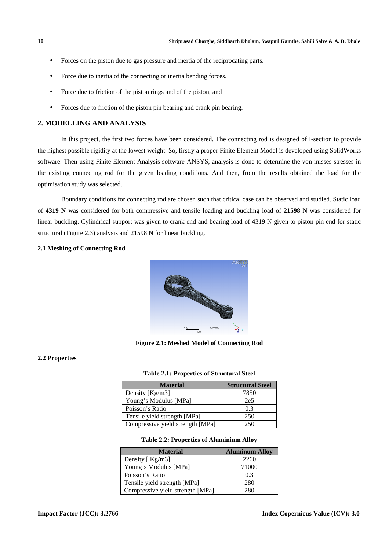- Forces on the piston due to gas pressure and inertia of the reciprocating parts.
- Force due to inertia of the connecting or inertia bending forces.
- Force due to friction of the piston rings and of the piston, and
- Forces due to friction of the piston pin bearing and crank pin bearing.

## **2. MODELLING AND ANALYSIS**

In this project, the first two forces have been considered. The connecting rod is designed of I-section to provide the highest possible rigidity at the lowest weight. So, firstly a proper Finite Element Model is developed using SolidWorks software. Then using Finite Element Analysis software ANSYS, analysis is done to determine the von misses stresses in the existing connecting rod for the given loading conditions. And then, from the results obtained the load for the optimisation study was selected.

Boundary conditions for connecting rod are chosen such that critical case can be observed and studied. Static load of **4319 N** was considered for both compressive and tensile loading and buckling load of **21598 N** was considered for linear buckling. Cylindrical support was given to crank end and bearing load of 4319 N given to piston pin end for static structural (Figure 2.3) analysis and 21598 N for linear buckling.

#### **2.1 Meshing of Connecting Rod**



**Figure 2.1: Meshed Model of Connecting Rod** 

#### **2.2 Properties**

**Table 2.1: Properties of Structural Steel** 

| <b>Material</b>                  | <b>Structural Steel</b> |  |
|----------------------------------|-------------------------|--|
| Density $[Kg/m3]$                | 7850                    |  |
| Young's Modulus [MPa]            | 2e <sub>5</sub>         |  |
| Poisson's Ratio                  | 0.3                     |  |
| Tensile yield strength [MPa]     | 250                     |  |
| Compressive yield strength [MPa] | 250                     |  |

|  |  | Table 2.2: Properties of Aluminium Alloy |  |
|--|--|------------------------------------------|--|
|--|--|------------------------------------------|--|

| <b>Material</b>                  | <b>Aluminum Alloy</b> |  |
|----------------------------------|-----------------------|--|
| Density [ Kg/m3]                 | 2260                  |  |
| Young's Modulus [MPa]            | 71000                 |  |
| Poisson's Ratio                  | 0.3                   |  |
| Tensile yield strength [MPa]     | 280                   |  |
| Compressive yield strength [MPa] | 280                   |  |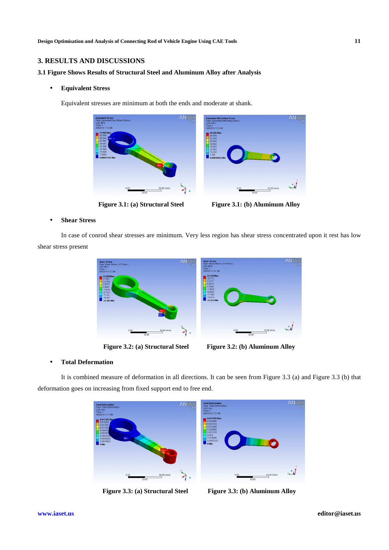# **3. RESULTS AND DISCUSSIONS**

#### **3.1 Figure Shows Results of Structural Steel and Aluminum Alloy after Analysis**

#### • **Equivalent Stress**

Equivalent stresses are minimum at both the ends and moderate at shank.



Figure 3.1: (a) Structural Steel Figure 3.1: (b) Aluminum Alloy

#### • **Shear Stress**

In case of conrod shear stresses are minimum. Very less region has shear stress concentrated upon it rest has low shear stress present





# • **Total Deformation**

It is combined measure of deformation in all directions. It can be seen from Figure 3.3 (a) and Figure 3.3 (b) that deformation goes on increasing from fixed support end to free end.



**Figure 3.3: (a) Structural Steel Figure 3.3: (b) Aluminum Alloy**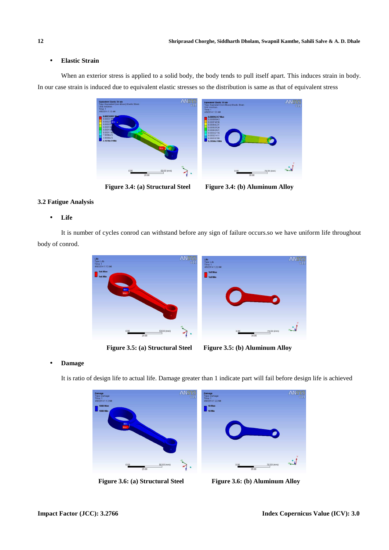## • **Elastic Strain**

When an exterior stress is applied to a solid body, the body tends to pull itself apart. This induces strain in body. In our case strain is induced due to equivalent elastic stresses so the distribution is same as that of equivalent stress



**Figure 3.4: (a) Structural Steel Figure 3.4: (b) Aluminum Alloy** 

# **3.2 Fatigue Analysis**

## • **Life**

It is number of cycles conrod can withstand before any sign of failure occurs.so we have uniform life throughout body of conrod.





## • **Damage**

It is ratio of design life to actual life. Damage greater than 1 indicate part will fail before design life is achieved



Figure 3.6: (a) Structural Steel Figure 3.6: (b) Aluminum Alloy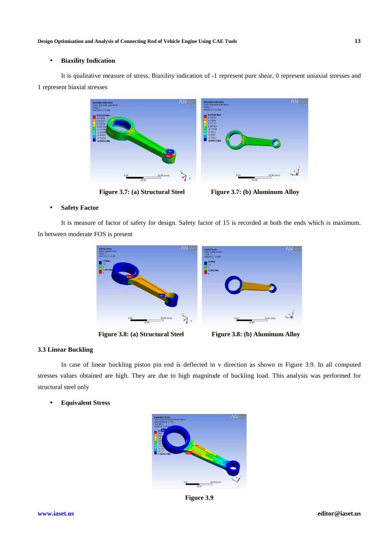# • **Biaxility Indication**

It is qualitative measure of stress. Biaxility indication of -1 represent pure shear, 0 represent uniaxial stresses and 1 represent biaxial stresses



**Figure 3.7: (a) Structural Steel Figure 3.7: (b) Aluminum Alloy** 

## • **Safety Factor**

It is measure of factor of safety for design. Safety factor of 15 is recorded at both the ends which is maximum. In between moderate FOS is present





# **3.3 Linear Buckling**

In case of linear buckling piston pin end is deflected in v direction as shown in Figure 3.9. In all computed stresses values obtained are high. They are due to high magnitude of buckling load. This analysis was performed for structural steel only

## • **Equivalent Stress**



**Figure 3.9**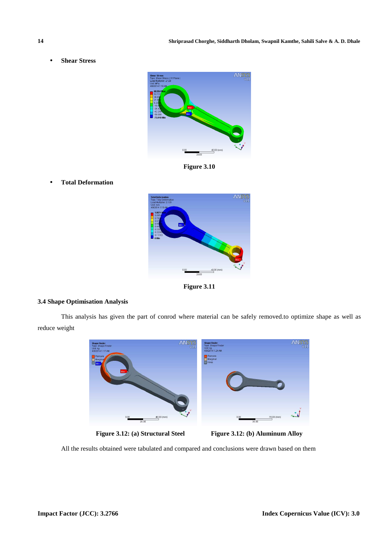• **Shear Stress** 



**Figure 3.10** 

• **Total Deformation** 



**Figure 3.11** 

# **3.4 Shape Optimisation Analysis**

This analysis has given the part of conrod where material can be safely removed.to optimize shape as well as reduce weight



Figure 3.12: (a) Structural Steel Figure 3.12: (b) Aluminum Alloy

All the results obtained were tabulated and compared and conclusions were drawn based on them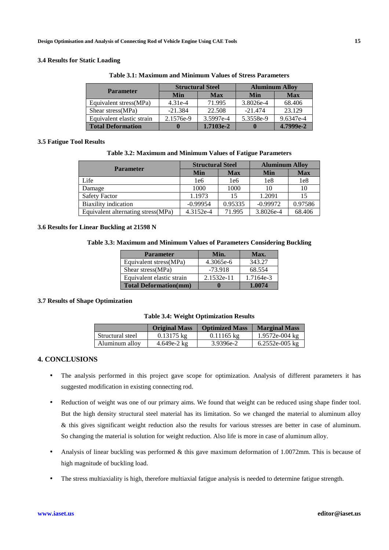#### **3.4 Results for Static Loading**

| <b>Parameter</b>          | <b>Structural Steel</b> |            | <b>Aluminum Alloy</b> |             |  |
|---------------------------|-------------------------|------------|-----------------------|-------------|--|
|                           | Min                     | <b>Max</b> | Min                   | <b>Max</b>  |  |
| Equivalent stress (MPa)   | $4.31e-4$               | 71.995     | 3.8026e-4             | 68.406      |  |
| Shear stress (MPa)        | $-21.384$               | 22.508     | $-21.474$             | 23.129      |  |
| Equivalent elastic strain | 2.1576e-9               | 3.5997e-4  | 5.3558e-9             | 9.6347e-4   |  |
| <b>Total Deformation</b>  |                         | 1.7103e-2  |                       | $4.7999e-2$ |  |

**Table 3.1: Maximum and Minimum Values of Stress Parameters** 

#### **3.5 Fatigue Tool Results**

#### **Table 3.2: Maximum and Minimum Values of Fatigue Parameters**

| <b>Parameter</b>                   | <b>Structural Steel</b> |            | <b>Aluminum Alloy</b> |            |
|------------------------------------|-------------------------|------------|-----------------------|------------|
|                                    | Min                     | <b>Max</b> | Min                   | <b>Max</b> |
| Life                               | 1e6                     | 1e6        | 1e8                   | 1e8        |
| Damage                             | 1000                    | 1000       | 10                    | 10         |
| <b>Safety Factor</b>               | 1.1973                  | 15         | 1.2091                | 15         |
| <b>Biaxility indication</b>        | $-0.99954$              | 0.95335    | $-0.99972$            | 0.97586    |
| Equivalent alternating stress(MPa) | 4.3152e-4               | 71.995     | 3.8026e-4             | 68.406     |

#### **3.6 Results for Linear Buckling at 21598 N**

#### **Table 3.3: Maximum and Minimum Values of Parameters Considering Buckling**

| <b>Parameter</b>             | Min.       | Max.      |
|------------------------------|------------|-----------|
| Equivalent stress(MPa)       | 4.3065e-6  | 343.27    |
| Shear stress(MPa)            | $-73.918$  | 68.554    |
| Equivalent elastic strain    | 2.1532e-11 | 1.7164e-3 |
| <b>Total Deformation(mm)</b> |            | 1.0074    |

#### **3.7 Results of Shape Optimization**

|  |  | <b>Table 3.4: Weight Optimization Results</b> |  |
|--|--|-----------------------------------------------|--|
|--|--|-----------------------------------------------|--|

|                  | <b>Original Mass</b> | <b>Optimized Mass</b> | <b>Marginal Mass</b> |
|------------------|----------------------|-----------------------|----------------------|
| Structural steel | $0.13175 \text{ kg}$ | $0.11165 \text{ kg}$  | $1.9572e-004$ kg     |
| Aluminum allov   | 4.649e-2 $kg$        | 3.9396e-2             | 6.2552e-005 kg       |

## **4. CONCLUSIONS**

- The analysis performed in this project gave scope for optimization. Analysis of different parameters it has suggested modification in existing connecting rod.
- Reduction of weight was one of our primary aims. We found that weight can be reduced using shape finder tool. But the high density structural steel material has its limitation. So we changed the material to aluminum alloy & this gives significant weight reduction also the results for various stresses are better in case of aluminum. So changing the material is solution for weight reduction. Also life is more in case of aluminum alloy.
- Analysis of linear buckling was performed & this gave maximum deformation of 1.0072mm. This is because of high magnitude of buckling load.
- The stress multiaxiality is high, therefore multiaxial fatigue analysis is needed to determine fatigue strength.